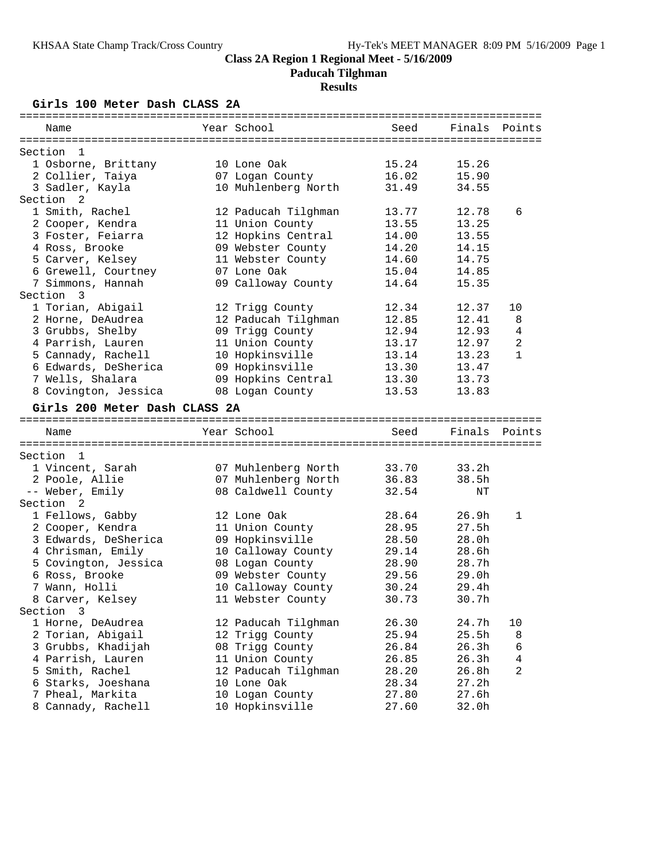**Paducah Tilghman**

### **Results**

**Girls 100 Meter Dash CLASS 2A**

| Name                               | Year School         | Seed  | Finals            | Points       |
|------------------------------------|---------------------|-------|-------------------|--------------|
|                                    |                     |       |                   |              |
| Section<br>- 1                     |                     |       |                   |              |
| 1 Osborne, Brittany                | 10 Lone Oak         | 15.24 | 15.26             |              |
| 2 Collier, Taiya                   | 07 Logan County     | 16.02 | 15.90             |              |
| 3 Sadler, Kayla                    | 10 Muhlenberg North | 31.49 | 34.55             |              |
| Section <sub>2</sub>               |                     |       |                   |              |
| 1 Smith, Rachel                    | 12 Paducah Tilghman | 13.77 | 12.78             | 6            |
| 2 Cooper, Kendra                   | 11 Union County     | 13.55 | 13.25             |              |
| 3 Foster, Feiarra                  | 12 Hopkins Central  | 14.00 | 13.55             |              |
| 4 Ross, Brooke                     | 09 Webster County   | 14.20 | 14.15             |              |
| 5 Carver, Kelsey                   | 11 Webster County   | 14.60 | 14.75             |              |
| 6 Grewell, Courtney                | 07 Lone Oak         | 15.04 | 14.85             |              |
| 7 Simmons, Hannah                  | 09 Calloway County  | 14.64 | 15.35             |              |
| Section<br>$\overline{\mathbf{3}}$ |                     |       |                   |              |
| 1 Torian, Abigail                  | 12 Trigg County     | 12.34 | 12.37             | 10           |
| 2 Horne, DeAudrea                  | 12 Paducah Tilghman | 12.85 | 12.41             | 8            |
| 3 Grubbs, Shelby                   | 09 Trigg County     | 12.94 | 12.93             | 4            |
| 4 Parrish, Lauren                  | 11 Union County     | 13.17 | 12.97             | 2            |
| 5 Cannady, Rachell                 | 10 Hopkinsville     | 13.14 | 13.23             | 1            |
| 6 Edwards, DeSherica               | 09 Hopkinsville     | 13.30 | 13.47             |              |
| 7 Wells, Shalara                   | 09 Hopkins Central  | 13.30 | 13.73             |              |
| 8 Covington, Jessica               | 08 Logan County     | 13.53 | 13.83             |              |
| Girls 200 Meter Dash CLASS 2A      |                     |       |                   |              |
|                                    |                     |       |                   |              |
| Name                               | Year School         | Seed  | Finals            | Points       |
| Section 1                          |                     |       |                   |              |
| 1 Vincent, Sarah                   | 07 Muhlenberg North | 33.70 | 33.2h             |              |
| 2 Poole, Allie                     | 07 Muhlenberg North | 36.83 | 38.5h             |              |
| -- Weber, Emily                    | 08 Caldwell County  | 32.54 | NΤ                |              |
| Section <sub>2</sub>               |                     |       |                   |              |
|                                    | 12 Lone Oak         | 28.64 | 26.9h             | $\mathbf{1}$ |
| 1 Fellows, Gabby                   |                     | 28.95 | 27.5h             |              |
| 2 Cooper, Kendra                   | 11 Union County     |       | 28.0 <sub>h</sub> |              |
| 3 Edwards, DeSherica               | 09 Hopkinsville     | 28.50 |                   |              |
| 4 Chrisman, Emily                  | 10 Calloway County  | 29.14 | 28.6h             |              |
| 5 Covington, Jessica               | 08 Logan County     | 28.90 | 28.7h             |              |
| 6 Ross, Brooke                     | 09 Webster County   | 29.56 | 29.0h             |              |
| 7 Wann, Holli                      | 10 Calloway County  | 30.24 | 29.4h             |              |
| 8 Carver, Kelsey                   | 11 Webster County   | 30.73 | 30.7h             |              |
| Section 3                          |                     |       |                   |              |
| 1 Horne, DeAudrea                  | 12 Paducah Tilghman | 26.30 | 24.7h             | 10           |
| 2 Torian, Abigail                  | 12 Trigg County     | 25.94 | 25.5h             | 8            |
| 3 Grubbs, Khadijah                 | 08 Trigg County     | 26.84 | 26.3h             | 6            |
| 4 Parrish, Lauren                  | 11 Union County     | 26.85 | 26.3h             | 4            |
| 5 Smith, Rachel                    | 12 Paducah Tilghman | 28.20 | 26.8h             | 2            |
| 6 Starks, Joeshana                 | 10 Lone Oak         | 28.34 | 27.2h             |              |
| 7 Pheal, Markita                   | 10 Logan County     | 27.80 | 27.6h             |              |
| 8 Cannady, Rachell                 | 10 Hopkinsville     | 27.60 | 32.0h             |              |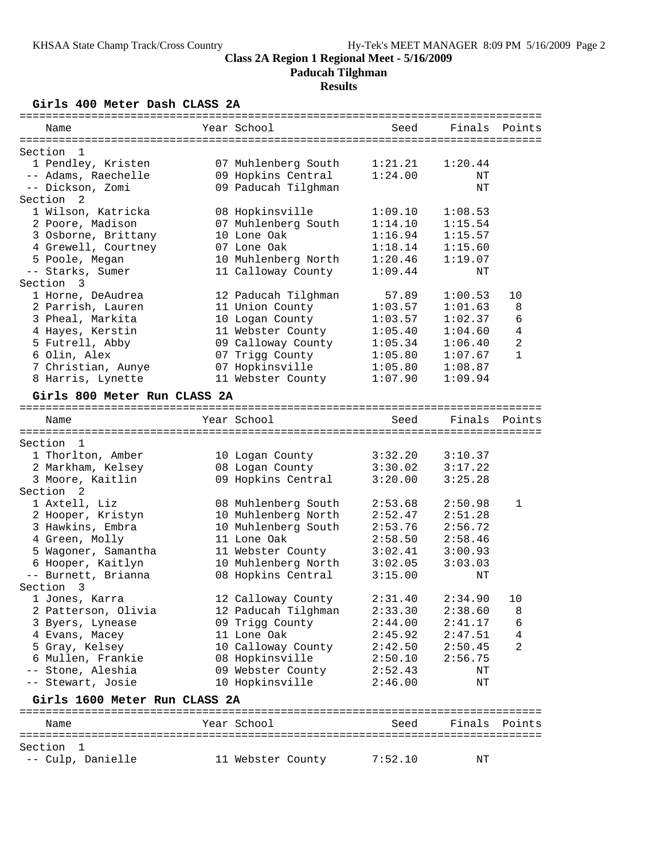**Paducah Tilghman**

## **Results**

**Girls 400 Meter Dash CLASS 2A**

| Name                                   | Year School                               | Seed               | Finals             | Points         |
|----------------------------------------|-------------------------------------------|--------------------|--------------------|----------------|
|                                        |                                           |                    |                    |                |
| Section<br>- 1                         |                                           |                    |                    |                |
| 1 Pendley, Kristen                     | 07 Muhlenberg South                       | 1:21.21            | 1:20.44            |                |
| -- Adams, Raechelle                    | 09 Hopkins Central                        | 1:24.00            | ΝT                 |                |
| -- Dickson, Zomi                       | 09 Paducah Tilghman                       |                    | NT                 |                |
| Section 2                              |                                           |                    |                    |                |
| 1 Wilson, Katricka                     | 08 Hopkinsville                           | 1:09.10            | 1:08.53            |                |
| 2 Poore, Madison                       | 07 Muhlenberg South                       | 1:14.10            | 1:15.54            |                |
| 3 Osborne, Brittany                    | 10 Lone Oak<br>07 Lone Oak                | 1:16.94            | 1:15.57            |                |
| 4 Grewell, Courtney<br>5 Poole, Megan  |                                           | 1:18.14            | 1:15.60            |                |
| -- Starks, Sumer                       | 10 Muhlenberg North<br>11 Calloway County | 1:20.46<br>1:09.44 | 1:19.07            |                |
| Section<br>$\overline{\mathbf{3}}$     |                                           |                    | ΝT                 |                |
|                                        |                                           |                    |                    | 10             |
| 1 Horne, DeAudrea<br>2 Parrish, Lauren | 12 Paducah Tilghman<br>11 Union County    | 57.89<br>1:03.57   | 1:00.53<br>1:01.63 | 8              |
| 3 Pheal, Markita                       | 10 Logan County                           | 1:03.57            | 1:02.37            | 6              |
| 4 Hayes, Kerstin                       | 11 Webster County                         | 1:05.40            | 1:04.60            | $\overline{4}$ |
| 5 Futrell, Abby                        | 09 Calloway County                        | 1:05.34            | 1:06.40            | $\overline{a}$ |
| 6 Olin, Alex                           | 07 Trigg County                           | 1:05.80            | 1:07.67            | 1              |
| 7 Christian, Aunye                     | 07 Hopkinsville                           | 1:05.80            | 1:08.87            |                |
| 8 Harris, Lynette                      | 11 Webster County                         | 1:07.90            | 1:09.94            |                |
|                                        |                                           |                    |                    |                |
| Girls 800 Meter Run CLASS 2A           |                                           |                    |                    |                |
| Name                                   | Year School                               | Seed               | Finals             | Points         |
|                                        |                                           |                    |                    |                |
| Section 1                              |                                           |                    |                    |                |
| 1 Thorlton, Amber                      | 10 Logan County                           | 3:32.20            | 3:10.37            |                |
| 2 Markham, Kelsey                      | 08 Logan County                           | 3:30.02            | 3:17.22            |                |
| 3 Moore, Kaitlin                       | 09 Hopkins Central                        | 3:20.00            | 3:25.28            |                |
| Section <sub>2</sub>                   |                                           |                    |                    |                |
| 1 Axtell, Liz                          | 08 Muhlenberg South                       | 2:53.68            | 2:50.98            | $\mathbf{1}$   |
| 2 Hooper, Kristyn                      | 10 Muhlenberg North                       | 2:52.47            | 2:51.28            |                |
| 3 Hawkins, Embra                       | 10 Muhlenberg South                       | 2:53.76            | 2:56.72            |                |
| 4 Green, Molly                         | 11 Lone Oak                               | 2:58.50            | 2:58.46            |                |
| 5 Wagoner, Samantha                    | 11 Webster County                         | 3:02.41            | 3:00.93            |                |
| 6 Hooper, Kaitlyn                      | 10 Muhlenberg North                       | 3:02.05            | 3:03.03            |                |
| -- Burnett, Brianna                    | 08 Hopkins Central                        | 3:15.00            | ΝT                 |                |
| Section 3                              |                                           |                    |                    |                |
| 1 Jones, Karra                         | 12 Calloway County                        | 2:31.40            | 2:34.90            | 10             |
| 2 Patterson, Olivia                    | 12 Paducah Tilghman                       | 2:33.30            | 2:38.60            | 8              |
| 3 Byers, Lynease                       | 09 Trigg County                           | 2:44.00            | 2:41.17            | 6              |
| 4 Evans, Macey                         | 11 Lone Oak                               | 2:45.92            | 2:47.51            | 4              |
| 5 Gray, Kelsey                         | 10 Calloway County                        | 2:42.50            | 2:50.45            | $\overline{2}$ |
| 6 Mullen, Frankie                      | 08 Hopkinsville                           | 2:50.10            | 2:56.75            |                |
| -- Stone, Aleshia                      | 09 Webster County                         | 2:52.43            | ΝT                 |                |
| -- Stewart, Josie                      | 10 Hopkinsville                           | 2:46.00            | ΝT                 |                |
| Girls 1600 Meter Run CLASS 2A          |                                           |                    |                    |                |
|                                        |                                           |                    |                    |                |
| Name                                   | Year School                               | Seed               |                    | Finals Points  |
|                                        |                                           |                    |                    |                |
| Section<br>- 1                         |                                           |                    |                    |                |
| -- Culp, Danielle                      | 11 Webster County                         | 7:52.10            | ΝT                 |                |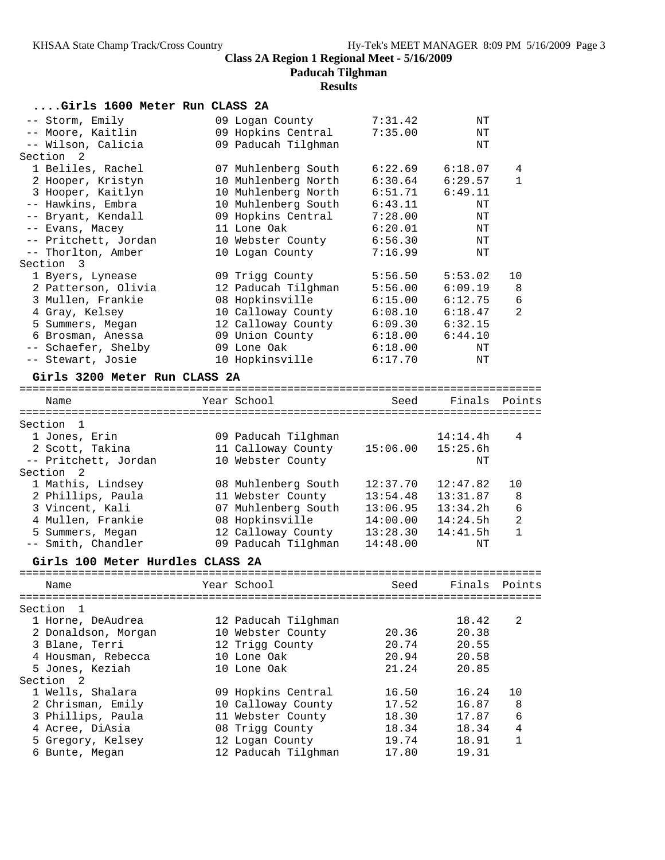**Paducah Tilghman**

### **Results**

| Girls 1600 Meter Run CLASS 2A                                |                     |                                 |           |              |
|--------------------------------------------------------------|---------------------|---------------------------------|-----------|--------------|
| -- Storm, Emily                                              | 09 Logan County     | 7:31.42                         | ΝT        |              |
| -- Moore, Kaitlin                                            | 09 Hopkins Central  | 7:35.00                         | ΝT        |              |
| -- Wilson, Calicia                                           | 09 Paducah Tilghman |                                 | ΝT        |              |
| Section 2                                                    |                     |                                 |           |              |
| 1 Beliles, Rachel                                            | 07 Muhlenberg South | 6:22.69                         | 6:18.07   | 4            |
| 2 Hooper, Kristyn                                            | 10 Muhlenberg North | 6:30.64                         | 6:29.57   | 1            |
| 3 Hooper, Kaitlyn                                            | 10 Muhlenberg North | 6:51.71                         | 6:49.11   |              |
| -- Hawkins, Embra                                            | 10 Muhlenberg South | 6:43.11                         | ΝT        |              |
| -- Bryant, Kendall                                           | 09 Hopkins Central  | 7:28.00                         | ΝT        |              |
| -- Evans, Macey                                              | 11 Lone Oak         | 6:20.01                         | ΝT        |              |
| -- Pritchett, Jordan                                         | 10 Webster County   | 6:56.30                         | ΝT        |              |
| -- Thorlton, Amber                                           | 10 Logan County     | 7:16.99                         | $\rm{NT}$ |              |
| Section 3                                                    |                     |                                 |           |              |
| 1 Byers, Lynease                                             | 09 Trigg County     | 5:56.50                         | 5:53.02   | 10           |
| 2 Patterson, Olivia                                          | 12 Paducah Tilghman | 5:56.00                         | 6:09.19   | 8            |
| 3 Mullen, Frankie                                            | 08 Hopkinsville     | 6:15.00                         | 6:12.75   | 6            |
| 4 Gray, Kelsey                                               | 10 Calloway County  | 6:08.10                         | 6:18.47   | 2            |
| 5 Summers, Megan                                             | 12 Calloway County  | 6:09.30                         | 6:32.15   |              |
| 6 Brosman, Anessa                                            | 09 Union County     | 6:18.00                         | 6:44.10   |              |
| -- Schaefer, Shelby                                          | 09 Lone Oak         | 6:18.00                         | ΝT        |              |
| -- Stewart, Josie                                            | 10 Hopkinsville     | 6:17.70                         | ΝT        |              |
| Girls 3200 Meter Run CLASS 2A                                |                     |                                 |           |              |
| Name                                                         | Year School         | Seed                            | Finals    | Points       |
| Section 1                                                    |                     |                                 |           |              |
| 1 Jones, Erin                                                | 09 Paducah Tilghman |                                 | 14:14.4h  | 4            |
| 2 Scott, Takina                                              | 11 Calloway County  | 15:06.00                        | 15:25.6h  |              |
| -- Pritchett, Jordan                                         | 10 Webster County   |                                 | ΝT        |              |
| Section<br>2                                                 |                     |                                 |           |              |
| 1 Mathis, Lindsey                                            | 08 Muhlenberg South | 12:37.70                        | 12:47.82  | 10           |
| 2 Phillips, Paula                                            | 11 Webster County   | 13:54.48                        | 13:31.87  | 8            |
| 3 Vincent, Kali                                              | 07 Muhlenberg South | 13:06.95                        | 13:34.2h  | 6            |
| 4 Mullen, Frankie                                            | 08 Hopkinsville     | 14:00.00                        | 14:24.5h  | 2            |
| 5 Summers, Megan                                             | 12 Calloway County  | 13:28.30                        | 14:41.5h  | $\mathbf{1}$ |
| -- Smith, Chandler                                           | 09 Paducah Tilghman | 14:48.00                        | ΝT        |              |
| Girls 100 Meter Hurdles CLASS 2A                             |                     |                                 |           |              |
|                                                              |                     |                                 |           |              |
| Name                                                         | Year School         | seed                            | Finals    | Points       |
| ===============<br>-------------------------<br>Section<br>1 |                     | ------------------------------- |           |              |
| 1 Horne, DeAudrea                                            | 12 Paducah Tilghman |                                 | 18.42     | 2            |
| 2 Donaldson, Morgan                                          | 10 Webster County   | 20.36                           | 20.38     |              |
| 3 Blane, Terri                                               | 12 Trigg County     | 20.74                           | 20.55     |              |
| 4 Housman, Rebecca                                           | 10 Lone Oak         | 20.94                           | 20.58     |              |
| 5 Jones, Keziah                                              | 10 Lone Oak         | 21.24                           | 20.85     |              |
| Section<br>2                                                 |                     |                                 |           |              |
| 1 Wells, Shalara                                             | 09 Hopkins Central  | 16.50                           | 16.24     | 10           |
| 2 Chrisman, Emily                                            | 10 Calloway County  | 17.52                           | 16.87     | 8            |
| 3 Phillips, Paula                                            | 11 Webster County   | 18.30                           | 17.87     | 6            |
| 4 Acree, DiAsia                                              | 08 Trigg County     | 18.34                           | 18.34     | 4            |

 5 Gregory, Kelsey 12 Logan County 19.74 18.91 1 6 Bunte, Megan 12 Paducah Tilghman 17.80 19.31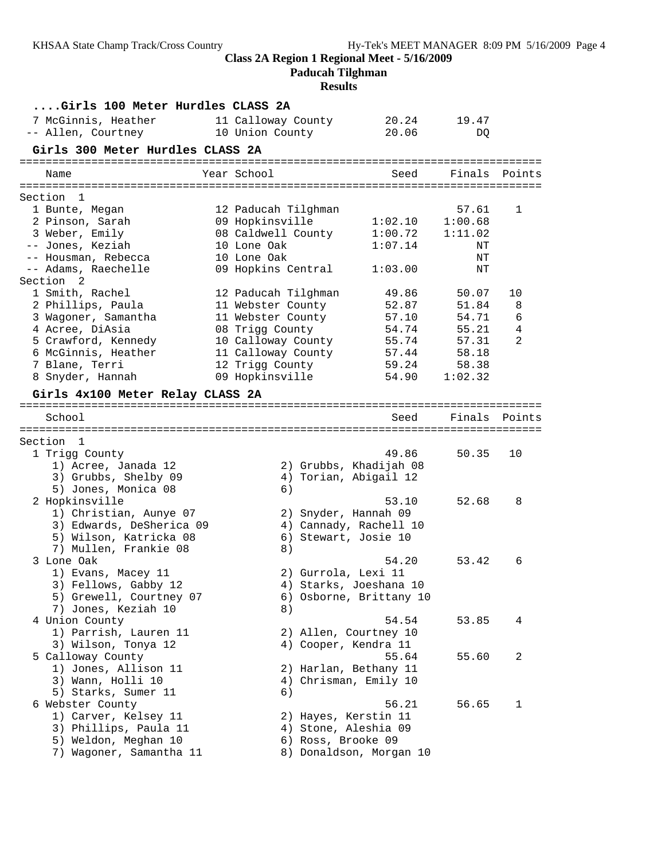**Paducah Tilghman**

| Girls 100 Meter Hurdles CLASS 2A         |                                        |                         |               |        |
|------------------------------------------|----------------------------------------|-------------------------|---------------|--------|
| 7 McGinnis, Heather                      | 11 Calloway County 20.24 19.47         |                         |               |        |
| -- Allen, Courtney                       | 10 Union County                        | 20.06                   | DQ            |        |
| Girls 300 Meter Hurdles CLASS 2A         |                                        |                         |               |        |
|                                          |                                        |                         |               |        |
| Name                                     | Year School                            | Seed                    | Finals Points |        |
|                                          |                                        |                         |               |        |
| Section 1                                |                                        |                         | 57.61         | 1      |
| 1 Bunte, Megan<br>2 Pinson, Sarah        | 12 Paducah Tilghman<br>09 Hopkinsville | 1:02.10                 | 1:00.68       |        |
| 3 Weber, Emily                           | 08 Caldwell County                     | 1:00.72                 | 1:11.02       |        |
| -- Jones, Keziah                         | 10 Lone Oak                            | 1:07.14                 | ΝT            |        |
| -- Housman, Rebecca                      | 10 Lone Oak                            |                         | ΝT            |        |
| -- Adams, Raechelle                      | 09 Hopkins Central                     | 1:03.00                 | ΝT            |        |
| Section <sub>2</sub>                     |                                        |                         |               |        |
| 1 Smith, Rachel                          | 12 Paducah Tilghman                    | 49.86                   | 50.07         | 10     |
| 2 Phillips, Paula                        | 11 Webster County                      | 52.87                   | 51.84         | 8      |
| 3 Wagoner, Samantha                      | 11 Webster County                      | 57.10                   | 54.71         | 6      |
| 4 Acree, DiAsia                          | 08 Trigg County                        | 54.74                   | 55.21         | 4      |
| 5 Crawford, Kennedy                      | 10 Calloway County                     | 55.74                   | 57.31         | 2      |
| 6 McGinnis, Heather                      | 11 Calloway County                     | 57.44                   | 58.18         |        |
| 7 Blane, Terri                           | 12 Trigg County                        | 59.24                   | 58.38         |        |
| 8 Snyder, Hannah                         | 09 Hopkinsville                        | 54.90                   | 1:02.32       |        |
| Girls 4x100 Meter Relay CLASS 2A         |                                        |                         |               |        |
|                                          |                                        |                         |               |        |
| School                                   |                                        | Seed                    | Finals        | Points |
| Section 1                                |                                        |                         |               |        |
| 1 Trigg County                           |                                        | 49.86                   | 50.35         | 10     |
| 1) Acree, Janada 12                      |                                        | 2) Grubbs, Khadijah 08  |               |        |
| 3) Grubbs, Shelby 09                     |                                        | 4) Torian, Abigail 12   |               |        |
| 5) Jones, Monica 08                      | 6)                                     |                         |               |        |
| 2 Hopkinsville                           |                                        | 53.10                   | 52.68         | 8      |
| 1) Christian, Aunye 07                   | 2) Snyder, Hannah 09                   |                         |               |        |
| 3) Edwards, DeSherica 09                 |                                        | 4) Cannady, Rachell 10  |               |        |
| 5) Wilson, Katricka 08                   | 6) Stewart, Josie 10                   |                         |               |        |
| 7) Mullen, Frankie 08                    | 8)                                     |                         |               |        |
| 3 Lone Oak                               |                                        | 54.20                   | 53.42         | 6      |
| 1) Evans, Macey 11                       | 2) Gurrola, Lexi 11                    |                         |               |        |
| 3) Fellows, Gabby 12                     |                                        | 4) Starks, Joeshana 10  |               |        |
| 5) Grewell, Courtney 07                  |                                        | 6) Osborne, Brittany 10 |               |        |
| 7) Jones, Keziah 10                      | 8)                                     |                         |               |        |
| 4 Union County                           |                                        | 54.54                   | 53.85         | 4      |
| 1) Parrish, Lauren 11                    |                                        | 2) Allen, Courtney 10   |               |        |
| 3) Wilson, Tonya 12<br>5 Calloway County | 4) Cooper, Kendra 11                   | 55.64                   | 55.60         | 2      |
| 1) Jones, Allison 11                     |                                        | 2) Harlan, Bethany 11   |               |        |
| 3) Wann, Holli 10                        |                                        | 4) Chrisman, Emily 10   |               |        |
| 5) Starks, Sumer 11                      | 6)                                     |                         |               |        |
| 6 Webster County                         |                                        | 56.21                   | 56.65         | 1      |
| 1) Carver, Kelsey 11                     | 2) Hayes, Kerstin 11                   |                         |               |        |
| 3) Phillips, Paula 11                    | 4) Stone, Aleshia 09                   |                         |               |        |
| 5) Weldon, Meghan 10                     | 6) Ross, Brooke 09                     |                         |               |        |
| 7) Wagoner, Samantha 11                  |                                        | 8) Donaldson, Morgan 10 |               |        |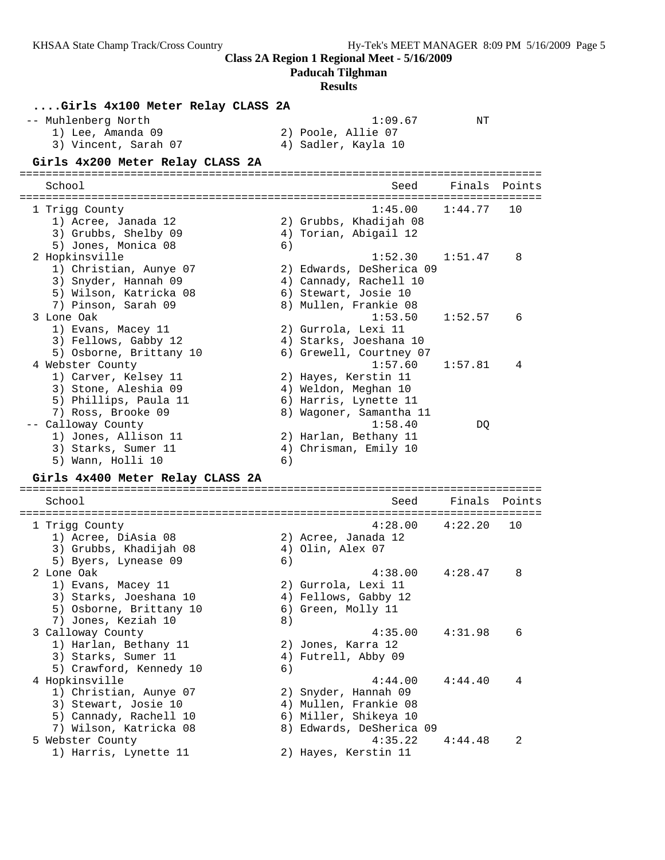**Paducah Tilghman**

| Girls 4x100 Meter Relay CLASS 2A<br>-- Muhlenberg North<br>1) Lee, Amanda 09<br>3) Vincent, Sarah 07                       |    | 1:09.67<br>2) Poole, Allie 07<br>4) Sadler, Kayla 10                                                           | ΝT                         |        |
|----------------------------------------------------------------------------------------------------------------------------|----|----------------------------------------------------------------------------------------------------------------|----------------------------|--------|
| Girls 4x200 Meter Relay CLASS 2A                                                                                           |    |                                                                                                                |                            |        |
| School                                                                                                                     |    | Seed                                                                                                           | Finals                     | Points |
| 1 Trigg County<br>1) Acree, Janada 12<br>3) Grubbs, Shelby 09<br>5) Jones, Monica 08                                       | 6) | 1:45.00<br>2) Grubbs, Khadijah 08<br>4) Torian, Abigail 12                                                     | 1:44.77                    | 10     |
| 2 Hopkinsville<br>1) Christian, Aunye 07<br>3) Snyder, Hannah 09<br>5) Wilson, Katricka 08<br>7) Pinson, Sarah 09          |    | 1:52.30<br>2) Edwards, DeSherica 09<br>4) Cannady, Rachell 10<br>6) Stewart, Josie 10<br>8) Mullen, Frankie 08 | 1:51.47                    | 8      |
| 3 Lone Oak<br>1) Evans, Macey 11<br>3) Fellows, Gabby 12<br>5) Osborne, Brittany 10                                        |    | 1:53.50<br>2) Gurrola, Lexi 11<br>4) Starks, Joeshana 10<br>6) Grewell, Courtney 07                            | 1:52.57                    | 6      |
| 4 Webster County<br>1) Carver, Kelsey 11<br>3) Stone, Aleshia 09<br>5) Phillips, Paula 11<br>7) Ross, Brooke 09            |    | 1:57.60<br>2) Hayes, Kerstin 11<br>4) Weldon, Meghan 10<br>6) Harris, Lynette 11<br>8) Wagoner, Samantha 11    | 1:57.81                    | 4      |
| -- Calloway County<br>1) Jones, Allison 11<br>3) Starks, Sumer 11<br>5) Wann, Holli 10<br>Girls 4x400 Meter Relay CLASS 2A | 6) | 1:58.40<br>2) Harlan, Bethany 11<br>4) Chrisman, Emily 10                                                      | DQ                         |        |
| School                                                                                                                     |    | Seed                                                                                                           | ================<br>Finals | Points |
| 1 Trigg County<br>1) Acree, DiAsia 08<br>3) Grubbs, Khadijah 08<br>5) Byers, Lynease 09                                    | 6) | 4:28.00<br>2) Acree, Janada 12<br>4) Olin, Alex 07                                                             | 4:22.20                    | 10     |
| 2 Lone Oak<br>1) Evans, Macey 11<br>3) Starks, Joeshana 10<br>5) Osborne, Brittany 10<br>7) Jones, Keziah 10               | 8) | 4:38.00<br>2) Gurrola, Lexi 11<br>4) Fellows, Gabby 12<br>6) Green, Molly 11                                   | 4:28.47                    | 8      |
| 3 Calloway County<br>1) Harlan, Bethany 11<br>3) Starks, Sumer 11<br>5) Crawford, Kennedy 10                               | 6) | 4:35.00<br>2) Jones, Karra 12<br>4) Futrell, Abby 09                                                           | 4:31.98                    | 6      |
| 4 Hopkinsville<br>1) Christian, Aunye 07<br>3) Stewart, Josie 10<br>5) Cannady, Rachell 10<br>7) Wilson, Katricka 08       |    | 4:44.00<br>2) Snyder, Hannah 09<br>4) Mullen, Frankie 08<br>6) Miller, Shikeya 10<br>8) Edwards, DeSherica 09  | 4:44.40                    | 4      |
| 5 Webster County<br>1) Harris, Lynette 11                                                                                  |    | 4:35.22<br>2) Hayes, Kerstin 11                                                                                | 4:44.48                    | 2      |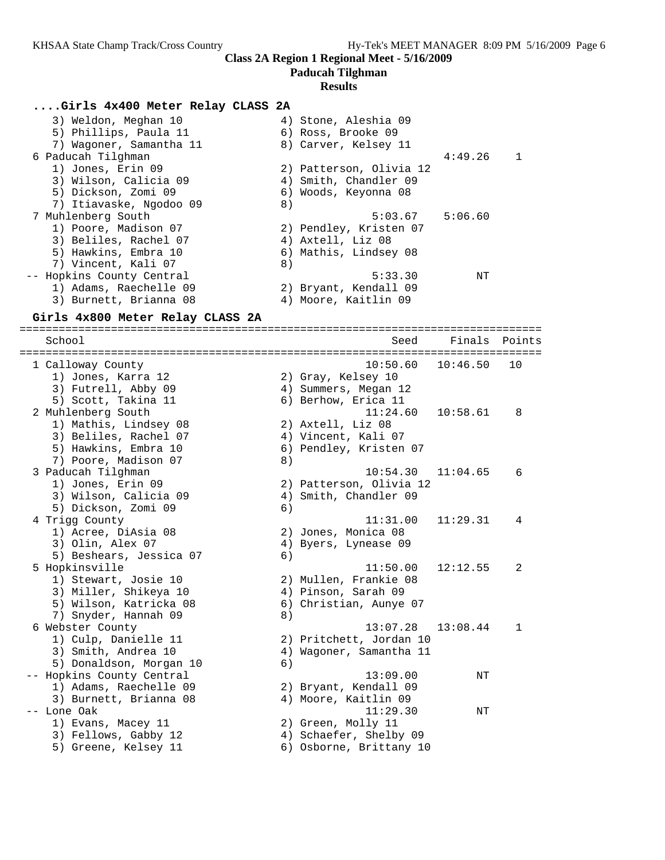**Paducah Tilghman**

#### **Results**

#### **....Girls 4x400 Meter Relay CLASS 2A**

| 3) Weldon, Meghan 10<br>5) Phillips, Paula 11<br>7) Wagoner, Samantha 11 | 4) Stone, Aleshia 09<br>6) Ross, Brooke 09<br>8) Carver, Kelsey 11 |         |                |
|--------------------------------------------------------------------------|--------------------------------------------------------------------|---------|----------------|
| 6 Paducah Tilghman                                                       |                                                                    | 4:49.26 | $\overline{1}$ |
| 1) Jones, Erin 09                                                        | 2) Patterson, Olivia 12                                            |         |                |
| 3) Wilson, Calicia 09                                                    | 4) Smith, Chandler 09                                              |         |                |
| 5) Dickson, Zomi 09                                                      | 6) Woods, Keyonna 08                                               |         |                |
| 7) Itiavaske, Ngodoo 09                                                  | 8)                                                                 |         |                |
| 7 Muhlenberg South                                                       | 5:03.67                                                            | 5:06.60 |                |
| 1) Poore, Madison 07                                                     | 2) Pendley, Kristen 07                                             |         |                |
| 3) Beliles, Rachel 07                                                    | 4) Axtell, Liz 08                                                  |         |                |
| 5) Hawkins, Embra 10                                                     | 6) Mathis, Lindsey 08                                              |         |                |
| 7) Vincent, Kali 07                                                      | 8)                                                                 |         |                |
| -- Hopkins County Central                                                | 5:33.30                                                            | NΤ      |                |
| 1) Adams, Raechelle 09                                                   | 2) Bryant, Kendall 09                                              |         |                |
| 3) Burnett, Brianna 08                                                   | 4) Moore, Kaitlin 09                                               |         |                |
|                                                                          |                                                                    |         |                |

#### **Girls 4x800 Meter Relay CLASS 2A**

================================================================================ School Seed Finals Points ================================================================================ 1 Calloway County 10:50.60 10:46.50 10 1) Jones, Karra 12 2) Gray, Kelsey 10 3) Futrell, Abby 09 (4) Summers, Megan 12 5) Scott, Takina 11 6) Berhow, Erica 11 2 Muhlenberg South 11:24.60 10:58.61 8 1) Mathis, Lindsey 08 2) Axtell, Liz 08 3) Beliles, Rachel 07 4) Vincent, Kali 07 5) Hawkins, Embra 10 6) Pendley, Kristen 07 7) Poore, Madison 07 (8) 3 Paducah Tilghman 10:54.30 11:04.65 6 1) Jones, Erin 09 2) Patterson, Olivia 12 3) Wilson, Calicia 09 4) Smith, Chandler 09 5) Dickson, Zomi 09 (6) 4 Trigg County 11:31.00 11:29.31 4 1) Acree, DiAsia 08 2) Jones, Monica 08 3) Olin, Alex 07 (4) Byers, Lynease 09 5) Beshears, Jessica 07 (1998)<br>5) Beshears, Jessica 07 (1998)<br>5) Hopkinsville 5 Hopkinsville 11:50.00 12:12.55 2 1) Stewart, Josie 10 2) Mullen, Frankie 08 3) Miller, Shikeya 10 4) Pinson, Sarah 09 5) Wilson, Katricka 08 6) Christian, Aunye 07 7) Snyder, Hannah 09  $\qquad \qquad 8)$  6 Webster County 13:07.28 13:08.44 1 1) Culp, Danielle 11 2) Pritchett, Jordan 10 3) Smith, Andrea 10 4) Wagoner, Samantha 11 5) Donaldson, Morgan 10 (6) -- Hopkins County Central 13:09.00 NT 1) Adams, Raechelle 09 2) Bryant, Kendall 09 3) Burnett, Brianna 08 (4) Moore, Kaitlin 09 -- Lone Oak 11:29.30 NT 1) Evans, Macey 11 2) Green, Molly 11 3) Fellows, Gabby 12 4) Schaefer, Shelby 09

5) Greene, Kelsey 11 6) Osborne, Brittany 10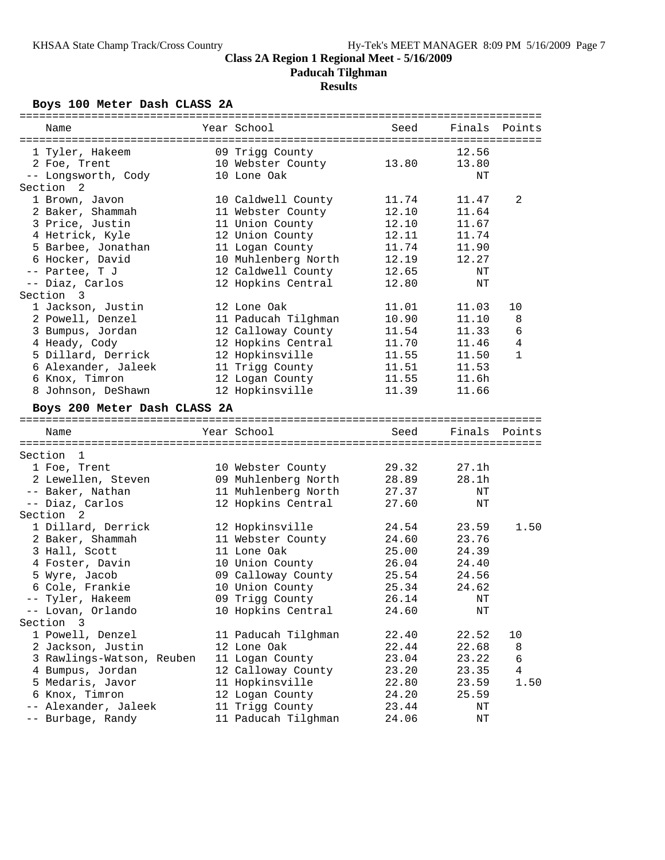**Paducah Tilghman**

## **Results**

## **Boys 100 Meter Dash CLASS 2A**

| Name                                      | Year School                             | Seed           | Finals         | Points |
|-------------------------------------------|-----------------------------------------|----------------|----------------|--------|
| 1 Tyler, Hakeem                           |                                         |                | 12.56          |        |
|                                           | 09 Trigg County                         |                |                |        |
| 2 Foe, Trent<br>-- Longsworth, Cody       | 10 Webster County<br>10 Lone Oak        | 13.80          | 13.80<br>NΤ    |        |
| Section <sub>2</sub>                      |                                         |                |                |        |
| 1 Brown, Javon                            |                                         | 11.74          | 11.47          | 2      |
| 2 Baker, Shammah                          | 10 Caldwell County<br>11 Webster County | 12.10          | 11.64          |        |
| 3 Price, Justin                           | 11 Union County                         | 12.10          |                |        |
| 4 Hetrick, Kyle                           |                                         | 12.11          | 11.67<br>11.74 |        |
| 5 Barbee, Jonathan                        | 12 Union County                         | 11.74          |                |        |
| 6 Hocker, David                           | 11 Logan County<br>10 Muhlenberg North  | 12.19          | 11.90<br>12.27 |        |
|                                           |                                         |                |                |        |
| -- Partee, T J                            | 12 Caldwell County                      | 12.65          | ΝT             |        |
| -- Diaz, Carlos                           | 12 Hopkins Central                      | 12.80          | $\rm{NT}$      |        |
| Section 3                                 |                                         |                |                |        |
| 1 Jackson, Justin                         | 12 Lone Oak                             | 11.01          | 11.03          | 10     |
| 2 Powell, Denzel                          | 11 Paducah Tilghman                     | 10.90          | 11.10          | 8      |
| 3 Bumpus, Jordan                          | 12 Calloway County                      | 11.54          | 11.33          | 6      |
| 4 Heady, Cody                             | 12 Hopkins Central                      | 11.70          | 11.46          | 4      |
| 5 Dillard, Derrick                        | 12 Hopkinsville                         | 11.55          | 11.50          | 1      |
| 6 Alexander, Jaleek                       | 11 Trigg County                         | 11.51          | 11.53          |        |
| 6 Knox, Timron                            | 12 Logan County                         | 11.55          | 11.6h          |        |
| 8 Johnson, DeShawn                        | 12 Hopkinsville                         | 11.39          | 11.66          |        |
| Boys 200 Meter Dash CLASS 2A              |                                         |                |                |        |
|                                           |                                         |                |                |        |
|                                           |                                         |                |                |        |
| Name                                      | Year School                             | Seed           | Finals         | Points |
|                                           |                                         |                |                |        |
| Section 1                                 |                                         |                |                |        |
| 1 Foe, Trent                              | 10 Webster County                       | 29.32          | 27.1h          |        |
| 2 Lewellen, Steven                        | 09 Muhlenberg North                     | 28.89          | 28.1h          |        |
| -- Baker, Nathan                          | 11 Muhlenberg North                     | 27.37          | ΝT             |        |
| -- Diaz, Carlos                           | 12 Hopkins Central                      | 27.60          | $_{\rm NT}$    |        |
| Section <sub>2</sub>                      |                                         |                |                |        |
| 1 Dillard, Derrick                        | 12 Hopkinsville                         | 24.54          | 23.59          | 1.50   |
| 2 Baker, Shammah                          | 11 Webster County                       | 24.60          | 23.76          |        |
| 3 Hall, Scott                             | 11 Lone Oak                             | 25.00          | 24.39          |        |
| 4 Foster, Davin                           | 10 Union County                         | 26.04          | 24.40          |        |
| 5 Wyre, Jacob                             | 09 Calloway County                      | 25.54          | 24.56          |        |
| 6 Cole, Frankie                           | 10 Union County                         | 25.34          | 24.62          |        |
| -- Tyler, Hakeem                          | 09 Trigg County                         | 26.14          | NT             |        |
| -- Lovan, Orlando                         | 10 Hopkins Central                      | 24.60          | ΝT             |        |
| Section 3                                 |                                         |                |                |        |
| 1 Powell, Denzel                          | 11 Paducah Tilghman                     | 22.40          | 22.52          | 10     |
| 2 Jackson, Justin                         | 12 Lone Oak                             | 22.44          | 22.68          | 8      |
| 3 Rawlings-Watson, Reuben                 | 11 Logan County                         | 23.04          | 23.22          | 6      |
| 4 Bumpus, Jordan                          | 12 Calloway County                      | 23.20          | 23.35          | 4      |
| 5 Medaris, Javor                          | 11 Hopkinsville                         | 22.80          | 23.59          | 1.50   |
| 6 Knox, Timron                            | 12 Logan County                         | 24.20          | 25.59          |        |
| -- Alexander, Jaleek<br>-- Burbage, Randy | 11 Trigg County<br>11 Paducah Tilghman  | 23.44<br>24.06 | ΝT<br>ΝT       |        |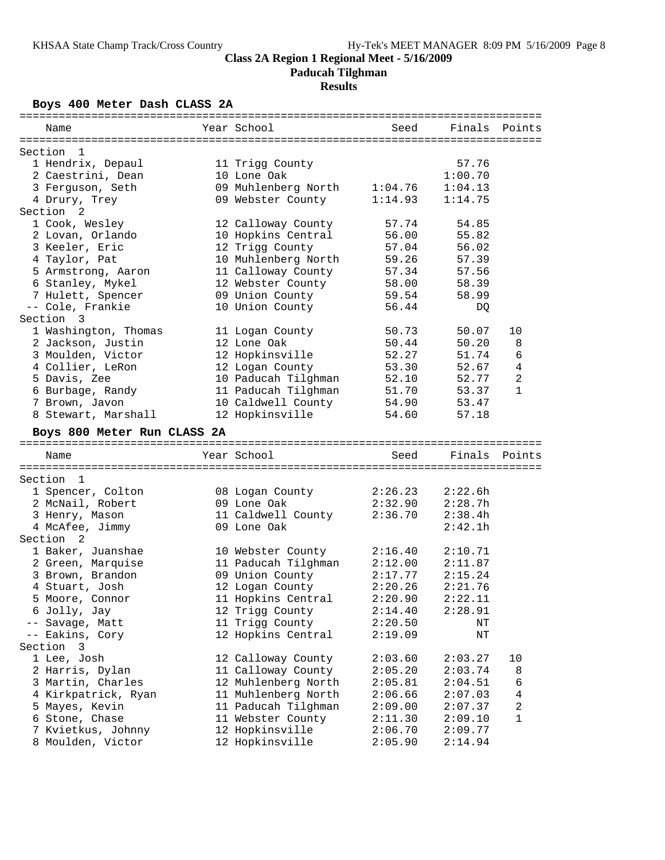**Paducah Tilghman**

## **Results**

## **Boys 400 Meter Dash CLASS 2A**

| Name                                    | Year School                                      | Seed               | Finals             | Points         |
|-----------------------------------------|--------------------------------------------------|--------------------|--------------------|----------------|
|                                         |                                                  |                    |                    |                |
| Section<br>- 1                          |                                                  |                    |                    |                |
| 1 Hendrix, Depaul                       | 11 Trigg County                                  |                    | 57.76              |                |
| 2 Caestrini, Dean                       | 10 Lone Oak                                      |                    | 1:00.70            |                |
| 3 Ferguson, Seth                        | 09 Muhlenberg North 1:04.76                      |                    | 1:04.13            |                |
| 4 Drury, Trey                           | 09 Webster County                                | 1:14.93            | 1:14.75            |                |
| Section <sub>2</sub>                    |                                                  |                    |                    |                |
| 1 Cook, Wesley                          | 12 Calloway County                               | 57.74              | 54.85              |                |
| 2 Lovan, Orlando                        | 10 Hopkins Central                               | 56.00              | 55.82              |                |
| 3 Keeler, Eric                          | 12 Trigg County                                  | 57.04              | 56.02              |                |
| 4 Taylor, Pat                           | 10 Muhlenberg North                              | 59.26              | 57.39              |                |
| 5 Armstrong, Aaron                      | 11 Calloway County                               | 57.34              | 57.56              |                |
| 6 Stanley, Mykel                        | 12 Webster County                                | 58.00              | 58.39              |                |
| 7 Hulett, Spencer                       | 09 Union County                                  | 59.54              | 58.99              |                |
| -- Cole, Frankie                        | 10 Union County                                  | 56.44              | DQ                 |                |
| Section 3                               |                                                  |                    |                    |                |
| 1 Washington, Thomas                    | 11 Logan County                                  | 50.73              | 50.07              | 10             |
| 2 Jackson, Justin                       | 12 Lone Oak                                      | 50.44              | 50.20              | 8              |
| 3 Moulden, Victor                       | 12 Hopkinsville                                  | 52.27              | 51.74              | 6              |
| 4 Collier, LeRon                        | 12 Logan County                                  | 53.30              | 52.67              | $\overline{4}$ |
| 5 Davis, Zee                            | 10 Paducah Tilghman                              | 52.10              | 52.77              | $\overline{a}$ |
| 6 Burbage, Randy                        | 11 Paducah Tilghman                              | 51.70              | 53.37              | 1              |
| 7 Brown, Javon                          | 10 Caldwell County                               | 54.90              | 53.47              |                |
| 8 Stewart, Marshall                     | 12 Hopkinsville                                  | 54.60              | 57.18              |                |
|                                         |                                                  |                    |                    |                |
| Boys 800 Meter Run CLASS 2A             |                                                  |                    |                    |                |
| Name                                    | Year School                                      | Seed               | Finals Points      |                |
| Section<br>-1                           |                                                  |                    |                    |                |
| 1 Spencer, Colton                       |                                                  | 2:26.23            | 2:22.6h            |                |
| 2 McNail, Robert                        | 08 Logan County<br>09 Lone Oak                   | 2:32.90            | 2:28.7h            |                |
|                                         | 11 Caldwell County                               | 2:36.70            | 2:38.4h            |                |
| 3 Henry, Mason                          |                                                  |                    |                    |                |
| 4 McAfee, Jimmy<br>Section 2            | 09 Lone Oak                                      |                    | 2:42.1h            |                |
| 1 Baker, Juanshae                       |                                                  | 2:16.40            | 2:10.71            |                |
|                                         | 10 Webster County<br>11 Paducah Tilghman 2:12.00 |                    |                    |                |
| 2 Green, Marquise                       |                                                  | 2:17.77            | 2:11.87            |                |
| 3 Brown, Brandon                        | 09 Union County                                  | 2:20.26            | 2:15.24<br>2:21.76 |                |
| 4 Stuart, Josh                          | 12 Logan County                                  | 2:20.90            |                    |                |
| 5 Moore, Connor                         | 11 Hopkins Central                               |                    | 2:22.11            |                |
| 6 Jolly, Jay                            | 12 Trigg County                                  | 2:14.40            | 2:28.91            |                |
| -- Savage, Matt                         |                                                  |                    |                    |                |
| -- Eakins, Cory                         | 11 Trigg County                                  | 2:20.50            | ΝT                 |                |
|                                         | 12 Hopkins Central                               | 2:19.09            | ΝT                 |                |
| Section<br>3                            |                                                  |                    |                    |                |
| 1 Lee, Josh                             | 12 Calloway County                               | 2:03.60            | 2:03.27            | 10             |
| 2 Harris, Dylan                         | 11 Calloway County                               | 2:05.20            | 2:03.74            | 8              |
| 3 Martin, Charles                       | 12 Muhlenberg North                              | 2:05.81            | 2:04.51            | 6              |
| 4 Kirkpatrick, Ryan                     | 11 Muhlenberg North                              | 2:06.66            | 2:07.03            | 4              |
| 5 Mayes, Kevin                          | 11 Paducah Tilghman                              | 2:09.00            | 2:07.37            | 2              |
| 6 Stone, Chase                          | 11 Webster County                                | 2:11.30            | 2:09.10            | 1              |
| 7 Kvietkus, Johnny<br>8 Moulden, Victor | 12 Hopkinsville<br>12 Hopkinsville               | 2:06.70<br>2:05.90 | 2:09.77<br>2:14.94 |                |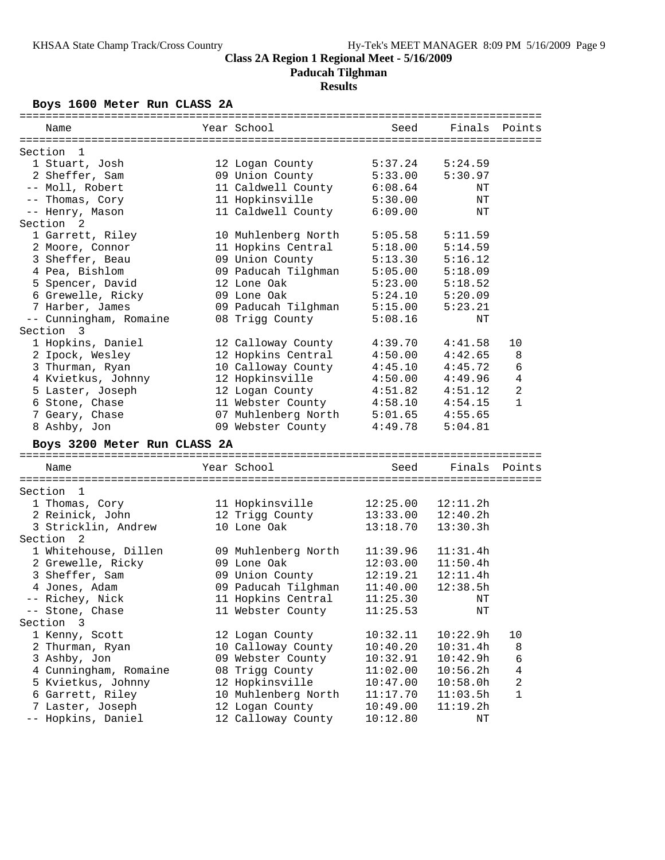**Paducah Tilghman**

## **Results**

## **Boys 1600 Meter Run CLASS 2A**

| Name                         | Year School                              | Seed     | Finals   | Points |
|------------------------------|------------------------------------------|----------|----------|--------|
|                              |                                          |          |          |        |
| Section<br>- 1               |                                          |          |          |        |
| 1 Stuart, Josh               | 12 Logan County                          | 5:37.24  | 5:24.59  |        |
| 2 Sheffer, Sam               | 09 Union County                          | 5:33.00  | 5:30.97  |        |
| -- Moll, Robert              | 11 Caldwell County                       | 6:08.64  | NΤ       |        |
| -- Thomas, Cory              | 11 Hopkinsville                          | 5:30.00  | NΤ       |        |
| -- Henry, Mason              | 11 Caldwell County                       | 6:09.00  | NΤ       |        |
| Section <sub>2</sub>         |                                          |          |          |        |
| 1 Garrett, Riley             | 10 Muhlenberg North                      | 5:05.58  | 5:11.59  |        |
| 2 Moore, Connor              | 11 Hopkins Central                       | 5:18.00  | 5:14.59  |        |
| 3 Sheffer, Beau              | 09 Union County                          | 5:13.30  | 5:16.12  |        |
| 4 Pea, Bishlom               | 09 Paducah Tilghman                      | 5:05.00  | 5:18.09  |        |
| 5 Spencer, David             | 12 Lone Oak                              | 5:23.00  | 5:18.52  |        |
| 6 Grewelle, Ricky            | 09 Lone Oak                              | 5:24.10  | 5:20.09  |        |
| 7 Harber, James              | 09 Paducah Tilghman                      | 5:15.00  | 5:23.21  |        |
| -- Cunningham, Romaine       | 08 Trigg County                          | 5:08.16  | ΝT       |        |
| Section 3                    |                                          |          |          |        |
| 1 Hopkins, Daniel            |                                          | 4:39.70  | 4:41.58  | 10     |
|                              | 12 Calloway County<br>12 Hopkins Central |          |          |        |
| 2 Ipock, Wesley              |                                          | 4:50.00  | 4:42.65  | 8      |
| 3 Thurman, Ryan              | 10 Calloway County                       | 4:45.10  | 4:45.72  | 6      |
| 4 Kvietkus, Johnny           | 12 Hopkinsville                          | 4:50.00  | 4:49.96  | 4      |
| 5 Laster, Joseph             | 12 Logan County                          | 4:51.82  | 4:51.12  | 2      |
| 6 Stone, Chase               | 11 Webster County                        | 4:58.10  | 4:54.15  | 1      |
| 7 Geary, Chase               | 07 Muhlenberg North                      | 5:01.65  | 4:55.65  |        |
| 8 Ashby, Jon                 | 09 Webster County                        | 4:49.78  | 5:04.81  |        |
| Boys 3200 Meter Run CLASS 2A |                                          |          |          |        |
|                              |                                          |          |          |        |
| Name                         | Year School                              | Seed     | Finals   | Points |
| Section                      |                                          |          |          |        |
| -1                           |                                          |          |          |        |
| 1 Thomas, Cory               | 11 Hopkinsville                          | 12:25.00 | 12:11.2h |        |
| 2 Reinick, John              | 12 Trigg County                          | 13:33.00 | 12:40.2h |        |
| 3 Stricklin, Andrew          | 10 Lone Oak                              | 13:18.70 | 13:30.3h |        |
| 2<br>Section                 |                                          |          |          |        |
| 1 Whitehouse, Dillen         | 09 Muhlenberg North                      | 11:39.96 | 11:31.4h |        |
| 2 Grewelle, Ricky            | 09 Lone Oak                              | 12:03.00 | 11:50.4h |        |
| 3 Sheffer, Sam               | 09 Union County                          | 12:19.21 | 12:11.4h |        |
| 4 Jones, Adam                | 09 Paducah Tilghman                      | 11:40.00 | 12:38.5h |        |
| -- Richey, Nick              | 11 Hopkins Central                       | 11:25.30 | NT       |        |
| -- Stone, Chase              | 11 Webster County                        | 11:25.53 | ΝT       |        |
| Section<br>3                 |                                          |          |          |        |
| 1 Kenny, Scott               | 12 Logan County                          | 10:32.11 | 10:22.9h | 10     |
| 2 Thurman, Ryan              | 10 Calloway County                       | 10:40.20 | 10:31.4h | 8      |
| 3 Ashby, Jon                 | 09 Webster County                        | 10:32.91 | 10:42.9h | 6      |
| 4 Cunningham, Romaine        | 08 Trigg County                          | 11:02.00 | 10:56.2h | 4      |
| 5 Kvietkus, Johnny           | 12 Hopkinsville                          | 10:47.00 | 10:58.0h | 2      |
| 6 Garrett, Riley             | 10 Muhlenberg North                      | 11:17.70 | 11:03.5h | 1      |
| 7 Laster, Joseph             | 12 Logan County                          | 10:49.00 | 11:19.2h |        |
| -- Hopkins, Daniel           | 12 Calloway County                       | 10:12.80 | ΝT       |        |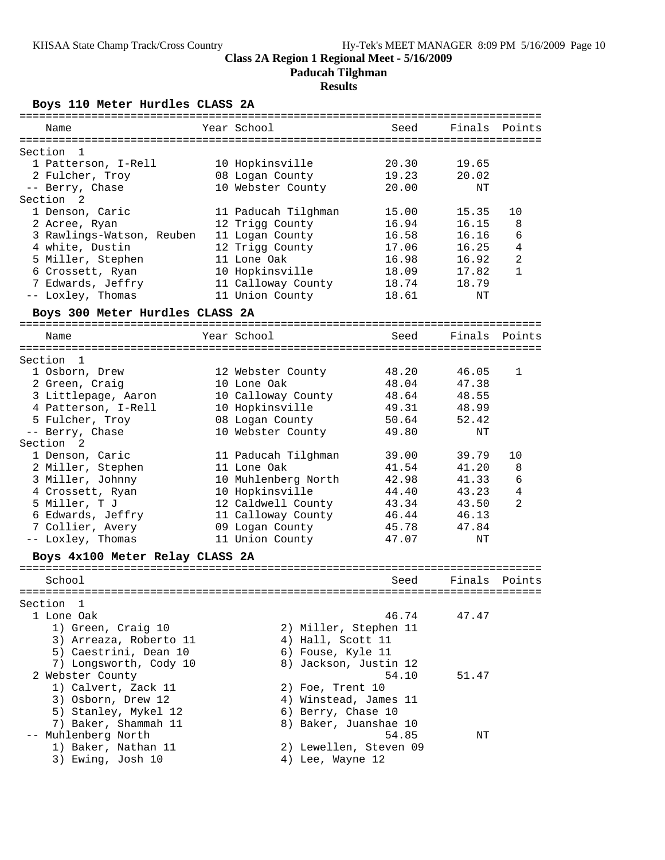**Paducah Tilghman**

## **Results**

**Boys 110 Meter Hurdles CLASS 2A**

| =============                   |                       |                        |        |                |
|---------------------------------|-----------------------|------------------------|--------|----------------|
| Name                            | Year School           | Seed                   | Finals | Points         |
|                                 |                       |                        |        |                |
| Section<br>1                    |                       |                        |        |                |
| 1 Patterson, I-Rell             | 10 Hopkinsville       | 20.30                  | 19.65  |                |
| 2 Fulcher, Troy                 | 08 Logan County       | 19.23                  | 20.02  |                |
| -- Berry, Chase                 | 10 Webster County     | 20.00                  | NT     |                |
| Section<br>2                    |                       |                        |        |                |
| 1 Denson, Caric                 | 11 Paducah Tilghman   | 15.00                  | 15.35  | 10             |
| 2 Acree, Ryan                   | 12 Trigg County       | 16.94                  | 16.15  | 8              |
| 3 Rawlings-Watson, Reuben       | 11 Logan County       | 16.58                  | 16.16  | 6              |
| 4 white, Dustin                 | 12 Trigg County       | 17.06                  | 16.25  | $\overline{4}$ |
| 5 Miller, Stephen               | 11 Lone Oak           | 16.98                  | 16.92  | $\overline{2}$ |
| 6 Crossett, Ryan                | 10 Hopkinsville       | 18.09                  | 17.82  | 1              |
| 7 Edwards, Jeffry               | 11 Calloway County    | 18.74                  | 18.79  |                |
| -- Loxley, Thomas               | 11 Union County       | 18.61                  | ΝT     |                |
| Boys 300 Meter Hurdles CLASS 2A |                       |                        |        |                |
| Name                            | Year School           | Seed                   | Finals | Points         |
|                                 |                       |                        |        |                |
| Section<br>1                    |                       |                        |        |                |
| 1 Osborn, Drew                  | 12 Webster County     | 48.20                  | 46.05  | 1              |
| 2 Green, Craig                  | 10 Lone Oak           | 48.04                  | 47.38  |                |
| 3 Littlepage, Aaron             | 10 Calloway County    | 48.64                  | 48.55  |                |
| 4 Patterson, I-Rell             | 10 Hopkinsville       | 49.31                  | 48.99  |                |
| 5 Fulcher, Troy                 | 08 Logan County       | 50.64                  | 52.42  |                |
| -- Berry, Chase                 | 10 Webster County     | 49.80                  | ΝT     |                |
| Section<br>-2                   |                       |                        |        |                |
| 1 Denson, Caric                 | 11 Paducah Tilghman   | 39.00                  | 39.79  | 10             |
| 2 Miller, Stephen               | 11 Lone Oak           | 41.54                  | 41.20  | 8              |
| 3 Miller, Johnny                | 10 Muhlenberg North   | 42.98                  | 41.33  | 6              |
| 4 Crossett, Ryan                | 10 Hopkinsville       | 44.40                  | 43.23  | 4              |
| 5 Miller, T J                   | 12 Caldwell County    | 43.34                  | 43.50  | 2              |
| 6 Edwards, Jeffry               | 11 Calloway County    | 46.44                  | 46.13  |                |
| 7 Collier, Avery                | 09 Logan County       | 45.78                  | 47.84  |                |
| -- Loxley, Thomas               | 11 Union County       | 47.07                  | ΝT     |                |
| Boys 4x100 Meter Relay CLASS 2A |                       |                        |        |                |
| School                          |                       | Seed                   | Finals | Points         |
|                                 |                       |                        |        |                |
| Section<br>$\mathbf{1}$         |                       |                        |        |                |
| 1 Lone Oak                      |                       | 46.74                  | 47.47  |                |
| 1) Green, Craig 10              | 2) Miller, Stephen 11 |                        |        |                |
| 3) Arreaza, Roberto 11          | 4) Hall, Scott 11     |                        |        |                |
| 5) Caestrini, Dean 10           | 6) Fouse, Kyle 11     |                        |        |                |
| 7) Longsworth, Cody 10          | 8) Jackson, Justin 12 |                        |        |                |
| 2 Webster County                |                       | 54.10                  | 51.47  |                |
| 1) Calvert, Zack 11             | 2) Foe, Trent 10      |                        |        |                |
| 3) Osborn, Drew 12              | 4) Winstead, James 11 |                        |        |                |
| 5) Stanley, Mykel 12            | 6) Berry, Chase 10    |                        |        |                |
| 7) Baker, Shammah 11            | 8) Baker, Juanshae 10 |                        |        |                |
| -- Muhlenberg North             |                       | 54.85                  | ΝT     |                |
| 1) Baker, Nathan 11             |                       | 2) Lewellen, Steven 09 |        |                |
| 3) Ewing, Josh 10               | 4) Lee, Wayne 12      |                        |        |                |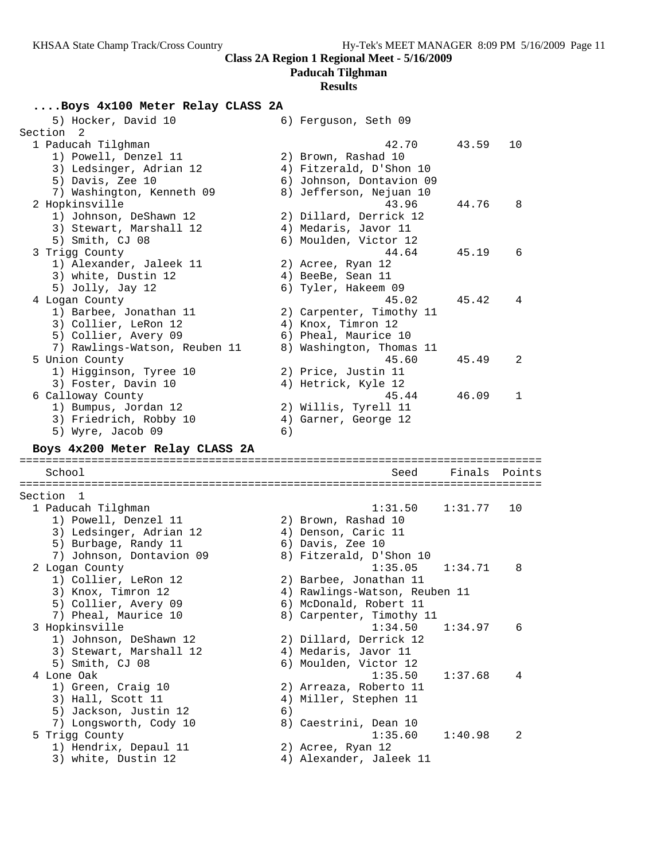### **Paducah Tilghman**

## **Results**

## **....Boys 4x100 Meter Relay CLASS 2A**

| 5) Hocker, David 10                            |    | 6) Ferguson, Seth 09                         |         |        |
|------------------------------------------------|----|----------------------------------------------|---------|--------|
| Section<br>2                                   |    |                                              |         |        |
| 1 Paducah Tilghman                             |    | 42.70                                        | 43.59   | 10     |
| 1) Powell, Denzel 11                           |    | 2) Brown, Rashad 10                          |         |        |
| 3) Ledsinger, Adrian 12                        |    | 4) Fitzerald, D'Shon 10                      |         |        |
| 5) Davis, Zee 10                               |    | 6) Johnson, Dontavion 09                     |         |        |
| 7) Washington, Kenneth 09                      |    | 8) Jefferson, Nejuan 10                      |         |        |
| 2 Hopkinsville                                 |    | 43.96                                        | 44.76   | 8      |
| 1) Johnson, DeShawn 12                         |    | 2) Dillard, Derrick 12                       |         |        |
| 3) Stewart, Marshall 12                        |    | 4) Medaris, Javor 11                         |         |        |
| 5) Smith, CJ 08                                |    | 6) Moulden, Victor 12                        |         |        |
| 3 Trigg County                                 |    | 44.64                                        | 45.19   | 6      |
| 1) Alexander, Jaleek 11                        |    | 2) Acree, Ryan 12                            |         |        |
| 3) white, Dustin 12                            |    | 4) BeeBe, Sean 11                            |         |        |
| 5) Jolly, Jay 12                               |    | 6) Tyler, Hakeem 09                          |         |        |
| 4 Logan County                                 |    | 45.02                                        | 45.42   | 4      |
|                                                |    |                                              |         |        |
| 1) Barbee, Jonathan 11<br>3) Collier, LeRon 12 |    | 2) Carpenter, Timothy 11                     |         |        |
|                                                |    | 4) Knox, Timron 12                           |         |        |
| 5) Collier, Avery 09                           |    | 6) Pheal, Maurice 10                         |         |        |
| 7) Rawlings-Watson, Reuben 11                  |    | 8) Washington, Thomas 11                     |         |        |
| 5 Union County                                 |    | 45.60                                        | 45.49   | 2      |
| 1) Higginson, Tyree 10                         |    | 2) Price, Justin 11                          |         |        |
| 3) Foster, Davin 10                            |    | 4) Hetrick, Kyle 12                          |         |        |
| 6 Calloway County                              |    | 45.44                                        | 46.09   | 1      |
| 1) Bumpus, Jordan 12                           |    | 2) Willis, Tyrell 11                         |         |        |
| 3) Friedrich, Robby 10                         |    | 4) Garner, George 12                         |         |        |
| 5) Wyre, Jacob 09                              | 6) |                                              |         |        |
|                                                |    |                                              |         |        |
| Boys 4x200 Meter Relay CLASS 2A                |    |                                              |         |        |
|                                                |    |                                              |         |        |
| School                                         |    | Seed                                         | Finals  | Points |
|                                                |    |                                              |         |        |
| Section<br>1                                   |    |                                              |         |        |
| 1 Paducah Tilghman                             |    | 1:31.50                                      | 1:31.77 | 10     |
| 1) Powell, Denzel 11                           |    | 2) Brown, Rashad 10                          |         |        |
| 3) Ledsinger, Adrian 12                        |    | 4) Denson, Caric 11                          |         |        |
| 5) Burbage, Randy 11                           |    | 6) Davis, Zee 10                             |         |        |
| 7) Johnson, Dontavion 09                       |    | 8) Fitzerald, D'Shon 10                      |         |        |
| 2 Logan County                                 |    | 1:35.05                                      | 1:34.71 | 8      |
| 1) Collier, LeRon 12                           |    | 2) Barbee, Jonathan 11                       |         |        |
| 3) Knox, Timron 12                             |    | 4) Rawlings-Watson, Reuben 11                |         |        |
|                                                |    |                                              |         |        |
| 5) Collier, Avery 09                           |    | 6) McDonald, Robert 11                       |         |        |
| 7) Pheal, Maurice 10                           |    | 8) Carpenter, Timothy 11                     | 1:34.97 | 6      |
| 3 Hopkinsville                                 |    | 1:34.50                                      |         |        |
| 1) Johnson, DeShawn 12                         |    | 2) Dillard, Derrick 12                       |         |        |
| 3) Stewart, Marshall 12                        |    | 4) Medaris, Javor 11                         |         |        |
| 5) Smith, CJ 08                                |    | 6) Moulden, Victor 12                        |         |        |
| 4 Lone Oak                                     |    | 1:35.50                                      | 1:37.68 | 4      |
| 1) Green, Craig 10                             |    | 2) Arreaza, Roberto 11                       |         |        |
| 3) Hall, Scott 11                              |    | 4) Miller, Stephen 11                        |         |        |
| 5) Jackson, Justin 12                          | 6) |                                              |         |        |
| 7) Longsworth, Cody 10                         |    | 8) Caestrini, Dean 10                        |         |        |
| 5 Trigg County                                 |    | 1:35.60                                      | 1:40.98 | 2      |
| 1) Hendrix, Depaul 11<br>3) white, Dustin 12   |    | 2) Acree, Ryan 12<br>4) Alexander, Jaleek 11 |         |        |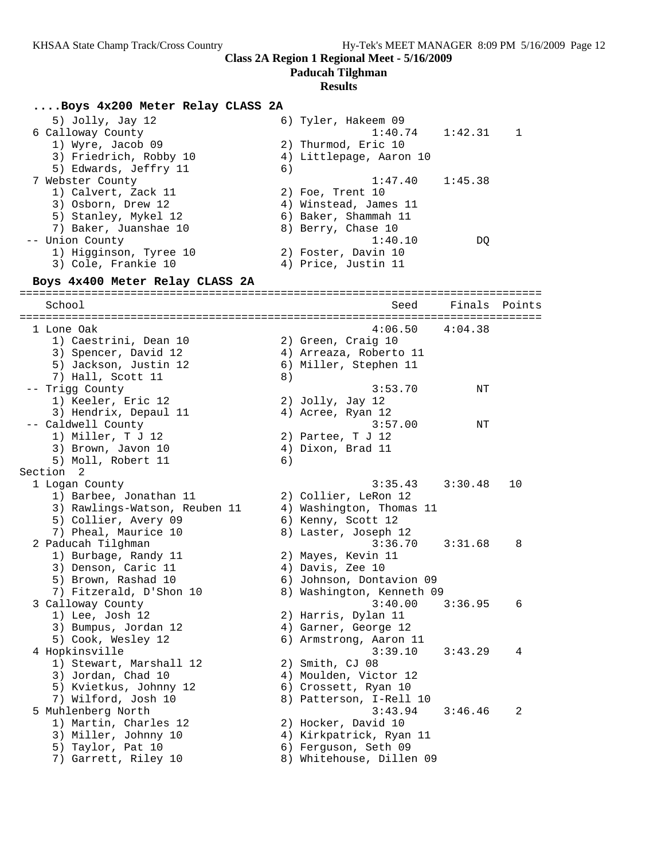**Paducah Tilghman**

#### **Results**

## **....Boys 4x200 Meter Relay CLASS 2A**

5) Jolly, Jay 12 6) Tyler, Hakeem 09 6 Calloway County 1:40.74 1:42.31 1 1) Wyre, Jacob 09 2) Thurmod, Eric 10 3) Friedrich, Robby 10 4) Littlepage, Aaron 10 5) Edwards, Jeffry 11 6) 7 Webster County 1:47.40 1:45.38 1) Calvert, Zack 11 2) Foe, Trent 10 3) Osborn, Drew 12 4) Winstead, James 11 5) Stanley, Mykel 12 6) Baker, Shammah 11 7) Baker, Juanshae 10  $\hphantom{\text{2.65}$  8) Berry, Chase 10 -- Union County 1:40.10 DQ 1) Higginson, Tyree 10 2) Foster, Davin 10 3) Cole, Frankie 10 (4) Price, Justin 11 **Boys 4x400 Meter Relay CLASS 2A** ================================================================================ School Seed Finals Points ================================================================================ 1 Lone Oak 4:06.50 4:04.38 1) Caestrini, Dean 10 (2) Green, Craig 10 3) Spencer, David 12 4) Arreaza, Roberto 11 5) Jackson, Justin 12 6) Miller, Stephen 11 7) Hall, Scott 11 8) -- Trigg County 3:53.70 NT 1) Keeler, Eric 12 2) Jolly, Jay 12 3) Hendrix, Depaul 11 (4) Acree, Ryan 12 -- Caldwell County 3:57.00 NT 1) Miller, T J 12 2) Partee, T J 12 3) Brown, Javon 10 (4) Dixon, Brad 11 5) Moll, Robert 11 6) Section 2 1 Logan County 3:35.43 3:30.48 10 1) Barbee, Jonathan 11  $\qquad \qquad$  2) Collier, LeRon 12 3) Rawlings-Watson, Reuben 11 4) Washington, Thomas 11 5) Collier, Avery 09 6) Kenny, Scott 12 7) Pheal, Maurice 10  $\hphantom{\text{2.65}$  8) Laster, Joseph 12 2 Paducah Tilghman 3:36.70 3:31.68 8 1) Burbage, Randy 11 2) Mayes, Kevin 11 3) Denson, Caric 11 (4) Davis, Zee 10 5) Brown, Rashad 10 6) Johnson, Dontavion 09 7) Fitzerald, D'Shon 10 8) Washington, Kenneth 09 3 Calloway County 3:40.00 3:36.95 6 1) Lee, Josh 12 2) Harris, Dylan 11 3) Bumpus, Jordan 12 (4) Garner, George 12 5) Cook, Wesley 12 6) Armstrong, Aaron 11 4 Hopkinsville 3:39.10 3:43.29 4 1) Stewart, Marshall 12 2) Smith, CJ 08 3) Jordan, Chad 10 4) Moulden, Victor 12 5) Kvietkus, Johnny 12 6) Crossett, Ryan 10 7) Wilford, Josh 10 8) Patterson, I-Rell 10 5 Muhlenberg North 3:43.94 3:46.46 2 1) Martin, Charles 12 (2012) Hocker, David 10 3) Miller, Johnny 10 4) Kirkpatrick, Ryan 11 5) Taylor, Pat 10 6) Ferguson, Seth 09 7) Garrett, Riley 10 8) Whitehouse, Dillen 09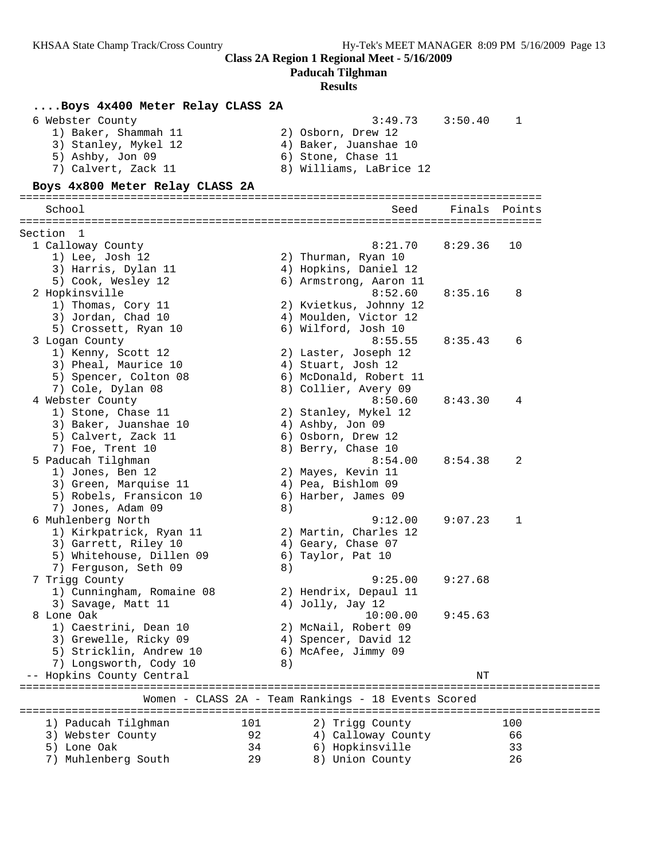**Paducah Tilghman**

| Boys 4x400 Meter Relay CLASS 2A                                  |     |                                                        |               |     |
|------------------------------------------------------------------|-----|--------------------------------------------------------|---------------|-----|
| 6 Webster County<br>1) Baker, Shammah 11<br>3) Stanley, Mykel 12 |     | 3:49.73<br>2) Osborn, Drew 12<br>4) Baker, Juanshae 10 | 3:50.40       | 1   |
| 5) Ashby, Jon 09<br>7) Calvert, Zack 11                          |     | 6) Stone, Chase 11<br>8) Williams, LaBrice 12          |               |     |
| Boys 4x800 Meter Relay CLASS 2A                                  |     |                                                        |               |     |
|                                                                  |     |                                                        |               |     |
| School                                                           |     | Seed                                                   | Finals Points |     |
| Section 1                                                        |     |                                                        |               |     |
| 1 Calloway County                                                |     | 8:21.70                                                | 8:29.36       | 10  |
| 1) Lee, Josh 12                                                  |     | 2) Thurman, Ryan 10                                    |               |     |
| 3) Harris, Dylan 11                                              |     | 4) Hopkins, Daniel 12                                  |               |     |
| 5) Cook, Wesley 12                                               |     | 6) Armstrong, Aaron 11                                 |               |     |
| 2 Hopkinsville                                                   |     | 8:52.60                                                | 8:35.16       | 8   |
| 1) Thomas, Cory 11                                               |     | 2) Kvietkus, Johnny 12                                 |               |     |
| 3) Jordan, Chad 10                                               |     | 4) Moulden, Victor 12                                  |               |     |
| 5) Crossett, Ryan 10                                             |     | 6) Wilford, Josh 10                                    |               |     |
| 3 Logan County                                                   |     | 8:55.55                                                | 8:35.43       | 6   |
| 1) Kenny, Scott 12                                               |     | 2) Laster, Joseph 12                                   |               |     |
| 3) Pheal, Maurice 10                                             |     | 4) Stuart, Josh 12                                     |               |     |
| 5) Spencer, Colton 08<br>7) Cole, Dylan 08                       |     | 6) McDonald, Robert 11<br>8) Collier, Avery 09         |               |     |
| 4 Webster County                                                 |     | 8:50.60                                                | 8:43.30       | 4   |
| 1) Stone, Chase 11                                               |     | 2) Stanley, Mykel 12                                   |               |     |
| 3) Baker, Juanshae 10                                            |     | 4) Ashby, Jon 09                                       |               |     |
| 5) Calvert, Zack 11                                              |     | 6) Osborn, Drew 12                                     |               |     |
| 7) Foe, Trent 10                                                 |     | 8) Berry, Chase 10                                     |               |     |
| 5 Paducah Tilghman                                               |     | 8:54.00                                                | 8:54.38       | 2   |
| 1) Jones, Ben 12                                                 |     | 2) Mayes, Kevin 11                                     |               |     |
| 3) Green, Marquise 11                                            |     | 4) Pea, Bishlom 09                                     |               |     |
| 5) Robels, Fransicon 10                                          |     | 6) Harber, James 09                                    |               |     |
| 7) Jones, Adam 09                                                | 8)  |                                                        |               |     |
| 6 Muhlenberg North                                               |     | 9:12.00                                                | 9:07.23       | 1   |
| 1) Kirkpatrick, Ryan 11                                          |     | 2) Martin, Charles 12                                  |               |     |
| 3) Garrett, Riley 10                                             |     | 4) Geary, Chase 07                                     |               |     |
| 5) Whitehouse, Dillen 09                                         |     | 6) Taylor, Pat 10                                      |               |     |
| 7) Ferguson, Seth 09<br>7 Trigg County                           | 8)  | 9:25.00                                                | 9:27.68       |     |
| 1) Cunningham, Romaine 08                                        |     | 2) Hendrix, Depaul 11                                  |               |     |
| 3) Savage, Matt 11                                               |     | 4) Jolly, Jay 12                                       |               |     |
| 8 Lone Oak                                                       |     | 10:00.00                                               | 9:45.63       |     |
| 1) Caestrini, Dean 10                                            |     | 2) McNail, Robert 09                                   |               |     |
| 3) Grewelle, Ricky 09                                            |     | 4) Spencer, David 12                                   |               |     |
| 5) Stricklin, Andrew 10                                          |     | 6) McAfee, Jimmy 09                                    |               |     |
| 7) Longsworth, Cody 10                                           | 8)  |                                                        |               |     |
| -- Hopkins County Central                                        |     |                                                        | ΝT            |     |
|                                                                  |     | Women - CLASS 2A - Team Rankings - 18 Events Scored    |               |     |
|                                                                  |     |                                                        |               |     |
| 1) Paducah Tilghman                                              | 101 | 2) Trigg County                                        |               | 100 |
| 3) Webster County                                                | 92  | 4) Calloway County                                     |               | 66  |
| 5) Lone Oak                                                      | 34  | 6) Hopkinsville                                        |               | 33  |
| 7) Muhlenberg South                                              | 29  | 8) Union County                                        |               | 26  |